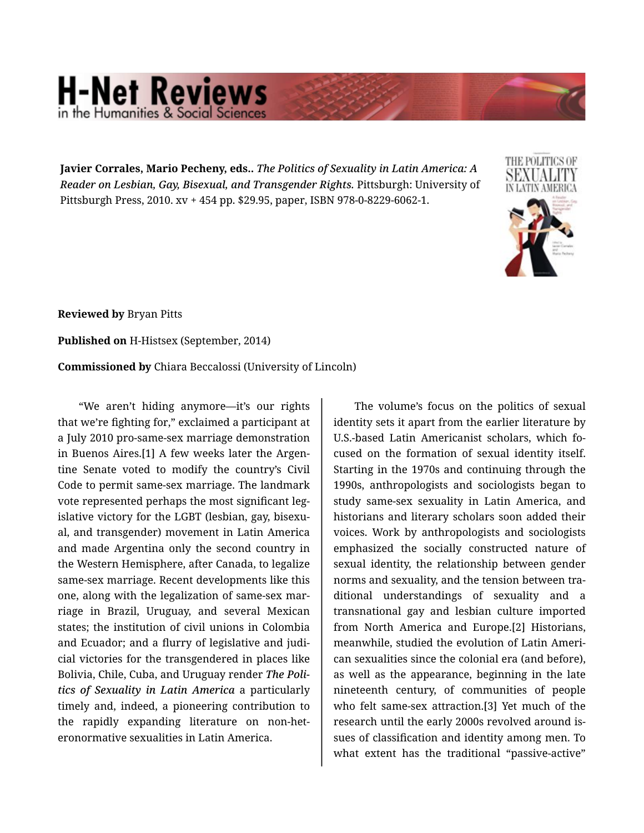## **H-Net Reviews** he Humanities & Social Scie

**Javier Corrales, Mario Pecheny, eds..** *The Politics of Sexuality in Latin America: A Reader on Lesbian, Gay, Bisexual, and Transgender Rights.* Pittsburgh: University of Pittsburgh Press, 2010. xv + 454 pp. \$29.95, paper, ISBN 978-0-8229-6062-1.



**Reviewed by** Bryan Pitts

**Published on** H-Histsex (September, 2014)

**Commissioned by** Chiara Beccalossi (University of Lincoln)

"We aren't hiding anymore—it's our rights that we're fighting for," exclaimed a participant at a July 2010 pro-same-sex marriage demonstration in Buenos Aires.[1] A few weeks later the Argen‐ tine Senate voted to modify the country's Civil Code to permit same-sex marriage. The landmark vote represented perhaps the most significant leg‐ islative victory for the LGBT (lesbian, gay, bisexu‐ al, and transgender) movement in Latin America and made Argentina only the second country in the Western Hemisphere, after Canada, to legalize same-sex marriage. Recent developments like this one, along with the legalization of same-sex mar‐ riage in Brazil, Uruguay, and several Mexican states; the institution of civil unions in Colombia and Ecuador; and a flurry of legislative and judi‐ cial victories for the transgendered in places like Bolivia, Chile, Cuba, and Uruguay render *The Poli‐ tics of Sexuality in Latin America* a particularly timely and, indeed, a pioneering contribution to the rapidly expanding literature on non-het‐ eronormative sexualities in Latin America.

The volume's focus on the politics of sexual identity sets it apart from the earlier literature by U.S.-based Latin Americanist scholars, which fo‐ cused on the formation of sexual identity itself. Starting in the 1970s and continuing through the 1990s, anthropologists and sociologists began to study same-sex sexuality in Latin America, and historians and literary scholars soon added their voices. Work by anthropologists and sociologists emphasized the socially constructed nature of sexual identity, the relationship between gender norms and sexuality, and the tension between tra‐ ditional understandings of sexuality and a transnational gay and lesbian culture imported from North America and Europe.[2] Historians, meanwhile, studied the evolution of Latin Ameri‐ can sexualities since the colonial era (and before), as well as the appearance, beginning in the late nineteenth century, of communities of people who felt same-sex attraction.[3] Yet much of the research until the early 2000s revolved around is‐ sues of classification and identity among men. To what extent has the traditional "passive-active"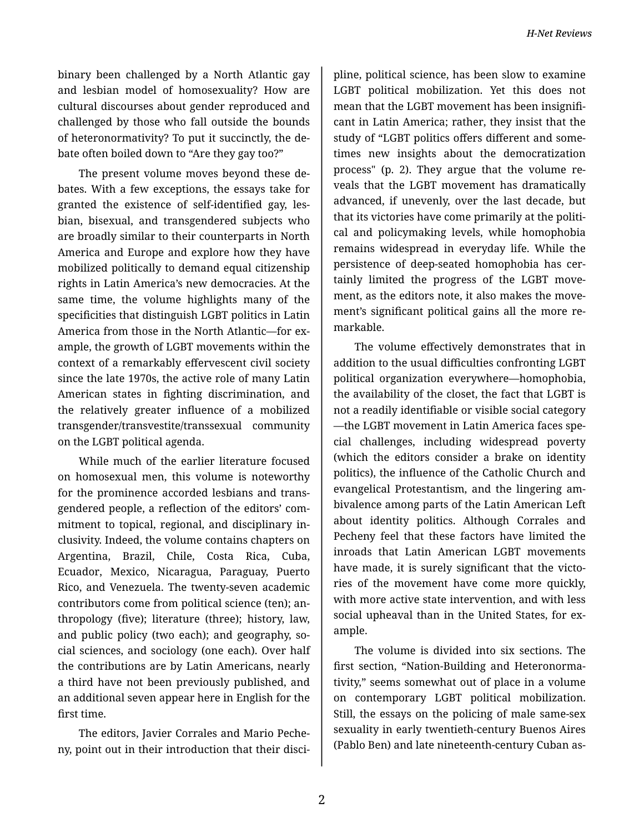binary been challenged by a North Atlantic gay and lesbian model of homosexuality? How are cultural discourses about gender reproduced and challenged by those who fall outside the bounds of heteronormativity? To put it succinctly, the de‐ bate often boiled down to "Are they gay too?"

The present volume moves beyond these de‐ bates. With a few exceptions, the essays take for granted the existence of self-identified gay, les‐ bian, bisexual, and transgendered subjects who are broadly similar to their counterparts in North America and Europe and explore how they have mobilized politically to demand equal citizenship rights in Latin America's new democracies. At the same time, the volume highlights many of the specificities that distinguish LGBT politics in Latin America from those in the North Atlantic—for ex‐ ample, the growth of LGBT movements within the context of a remarkably effervescent civil society since the late 1970s, the active role of many Latin American states in fighting discrimination, and the relatively greater influence of a mobilized transgender/transvestite/transsexual community on the LGBT political agenda.

While much of the earlier literature focused on homosexual men, this volume is noteworthy for the prominence accorded lesbians and trans‐ gendered people, a reflection of the editors' com‐ mitment to topical, regional, and disciplinary in‐ clusivity. Indeed, the volume contains chapters on Argentina, Brazil, Chile, Costa Rica, Cuba, Ecuador, Mexico, Nicaragua, Paraguay, Puerto Rico, and Venezuela. The twenty-seven academic contributors come from political science (ten); an‐ thropology (five); literature (three); history, law, and public policy (two each); and geography, so‐ cial sciences, and sociology (one each). Over half the contributions are by Latin Americans, nearly a third have not been previously published, and an additional seven appear here in English for the first time.

The editors, Javier Corrales and Mario Peche‐ ny, point out in their introduction that their disci‐

pline, political science, has been slow to examine LGBT political mobilization. Yet this does not mean that the LGBT movement has been insignifi‐ cant in Latin America; rather, they insist that the study of "LGBT politics offers different and some‐ times new insights about the democratization process" (p. 2). They argue that the volume re‐ veals that the LGBT movement has dramatically advanced, if unevenly, over the last decade, but that its victories have come primarily at the politi‐ cal and policymaking levels, while homophobia remains widespread in everyday life. While the persistence of deep-seated homophobia has cer‐ tainly limited the progress of the LGBT move‐ ment, as the editors note, it also makes the move‐ ment's significant political gains all the more re‐ markable.

The volume effectively demonstrates that in addition to the usual difficulties confronting LGBT political organization everywhere—homophobia, the availability of the closet, the fact that LGBT is not a readily identifiable or visible social category —the LGBT movement in Latin America faces spe‐ cial challenges, including widespread poverty (which the editors consider a brake on identity politics), the influence of the Catholic Church and evangelical Protestantism, and the lingering am‐ bivalence among parts of the Latin American Left about identity politics. Although Corrales and Pecheny feel that these factors have limited the inroads that Latin American LGBT movements have made, it is surely significant that the victories of the movement have come more quickly, with more active state intervention, and with less social upheaval than in the United States, for example.

The volume is divided into six sections. The first section, "Nation-Building and Heteronorma‐ tivity," seems somewhat out of place in a volume on contemporary LGBT political mobilization. Still, the essays on the policing of male same-sex sexuality in early twentieth-century Buenos Aires (Pablo Ben) and late nineteenth-century Cuban as‐

2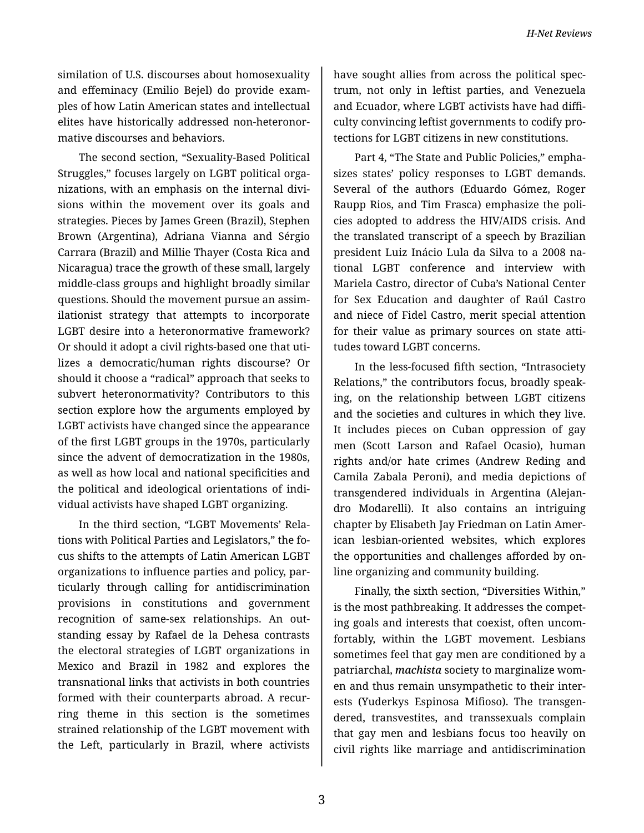similation of U.S. discourses about homosexuality and effeminacy (Emilio Bejel) do provide exam‐ ples of how Latin American states and intellectual elites have historically addressed non-heteronor‐ mative discourses and behaviors.

The second section, "Sexuality-Based Political Struggles," focuses largely on LGBT political orga‐ nizations, with an emphasis on the internal divi‐ sions within the movement over its goals and strategies. Pieces by James Green (Brazil), Stephen Brown (Argentina), Adriana Vianna and Sérgio Carrara (Brazil) and Millie Thayer (Costa Rica and Nicaragua) trace the growth of these small, largely middle-class groups and highlight broadly similar questions. Should the movement pursue an assim‐ ilationist strategy that attempts to incorporate LGBT desire into a heteronormative framework? Or should it adopt a civil rights-based one that uti‐ lizes a democratic/human rights discourse? Or should it choose a "radical" approach that seeks to subvert heteronormativity? Contributors to this section explore how the arguments employed by LGBT activists have changed since the appearance of the first LGBT groups in the 1970s, particularly since the advent of democratization in the 1980s, as well as how local and national specificities and the political and ideological orientations of indi‐ vidual activists have shaped LGBT organizing.

In the third section, "LGBT Movements' Rela‐ tions with Political Parties and Legislators," the fo‐ cus shifts to the attempts of Latin American LGBT organizations to influence parties and policy, par‐ ticularly through calling for antidiscrimination provisions in constitutions and government recognition of same-sex relationships. An out‐ standing essay by Rafael de la Dehesa contrasts the electoral strategies of LGBT organizations in Mexico and Brazil in 1982 and explores the transnational links that activists in both countries formed with their counterparts abroad. A recur‐ ring theme in this section is the sometimes strained relationship of the LGBT movement with the Left, particularly in Brazil, where activists

have sought allies from across the political spec‐ trum, not only in leftist parties, and Venezuela and Ecuador, where LGBT activists have had diffi‐ culty convincing leftist governments to codify pro‐ tections for LGBT citizens in new constitutions.

Part 4, "The State and Public Policies," empha‐ sizes states' policy responses to LGBT demands. Several of the authors (Eduardo Gómez, Roger Raupp Rios, and Tim Frasca) emphasize the poli‐ cies adopted to address the HIV/AIDS crisis. And the translated transcript of a speech by Brazilian president Luiz Inácio Lula da Silva to a 2008 na‐ tional LGBT conference and interview with Mariela Castro, director of Cuba's National Center for Sex Education and daughter of Raúl Castro and niece of Fidel Castro, merit special attention for their value as primary sources on state attitudes toward LGBT concerns.

In the less-focused fifth section, "Intrasociety Relations," the contributors focus, broadly speak‐ ing, on the relationship between LGBT citizens and the societies and cultures in which they live. It includes pieces on Cuban oppression of gay men (Scott Larson and Rafael Ocasio), human rights and/or hate crimes (Andrew Reding and Camila Zabala Peroni), and media depictions of transgendered individuals in Argentina (Alejan‐ dro Modarelli). It also contains an intriguing chapter by Elisabeth Jay Friedman on Latin Amer‐ ican lesbian-oriented websites, which explores the opportunities and challenges afforded by on‐ line organizing and community building.

Finally, the sixth section, "Diversities Within," is the most pathbreaking. It addresses the compet‐ ing goals and interests that coexist, often uncom‐ fortably, within the LGBT movement. Lesbians sometimes feel that gay men are conditioned by a patriarchal, *machista* society to marginalize wom‐ en and thus remain unsympathetic to their inter‐ ests (Yuderkys Espinosa Mifioso). The transgen‐ dered, transvestites, and transsexuals complain that gay men and lesbians focus too heavily on civil rights like marriage and antidiscrimination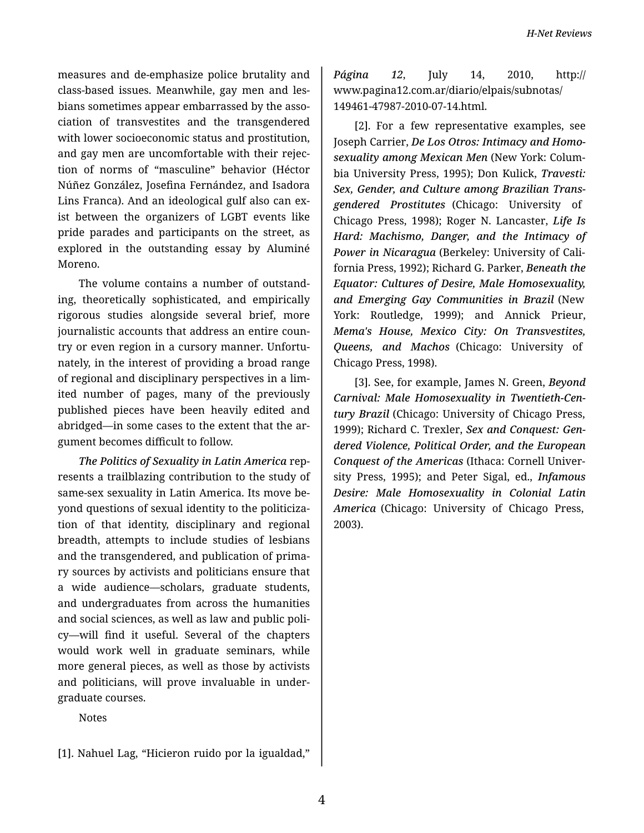measures and de-emphasize police brutality and class-based issues. Meanwhile, gay men and les‐ bians sometimes appear embarrassed by the asso‐ ciation of transvestites and the transgendered with lower socioeconomic status and prostitution, and gay men are uncomfortable with their rejec‐ tion of norms of "masculine" behavior (Héctor Núñez González, Josefina Fernández, and Isadora Lins Franca). And an ideological gulf also can ex‐ ist between the organizers of LGBT events like pride parades and participants on the street, as explored in the outstanding essay by Aluminé Moreno.

The volume contains a number of outstand‐ ing, theoretically sophisticated, and empirically rigorous studies alongside several brief, more journalistic accounts that address an entire coun‐ try or even region in a cursory manner. Unfortu‐ nately, in the interest of providing a broad range of regional and disciplinary perspectives in a lim‐ ited number of pages, many of the previously published pieces have been heavily edited and abridged—in some cases to the extent that the ar‐ gument becomes difficult to follow.

*The Politics of Sexuality in Latin America* rep‐ resents a trailblazing contribution to the study of same-sex sexuality in Latin America. Its move be‐ yond questions of sexual identity to the politiciza‐ tion of that identity, disciplinary and regional breadth, attempts to include studies of lesbians and the transgendered, and publication of prima‐ ry sources by activists and politicians ensure that a wide audience—scholars, graduate students, and undergraduates from across the humanities and social sciences, as well as law and public poli‐ cy—will find it useful. Several of the chapters would work well in graduate seminars, while more general pieces, as well as those by activists and politicians, will prove invaluable in under‐ graduate courses.

Notes

[1]. Nahuel Lag, "Hicieron ruido por la igualdad,"

*Página 12*, July 14, 2010, http:// www.pagina12.com.ar/diario/elpais/subnotas/ 149461-47987-2010-07-14.html.

[2]. For a few representative examples, see Joseph Carrier, *De Los Otros: Intimacy and Homo‐ sexuality among Mexican Men* (New York: Colum‐ bia University Press, 1995); Don Kulick, *Travesti: Sex, Gender, and Culture among Brazilian Trans‐ gendered Prostitutes* (Chicago: University of Chicago Press, 1998); Roger N. Lancaster, *Life Is Hard: Machismo, Danger, and the Intimacy of Power in Nicaragua* (Berkeley: University of Cali‐ fornia Press, 1992); Richard G. Parker, *Beneath the Equator: Cultures of Desire, Male Homosexuality, and Emerging Gay Communities in Brazil* (New York: Routledge, 1999); and Annick Prieur, *Mema's House, Mexico City: On Transvestites, Queens, and Machos* (Chicago: University of Chicago Press, 1998).

[3]. See, for example, James N. Green, *Beyond Carnival: Male Homosexuality in Twentieth-Cen‐ tury Brazil* (Chicago: University of Chicago Press, 1999); Richard C. Trexler, *Sex and Conquest: Gen‐ dered Violence, Political Order, and the European Conquest of the Americas* (Ithaca: Cornell Univer‐ sity Press, 1995); and Peter Sigal, ed., *Infamous Desire: Male Homosexuality in Colonial Latin America* (Chicago: University of Chicago Press, 2003).